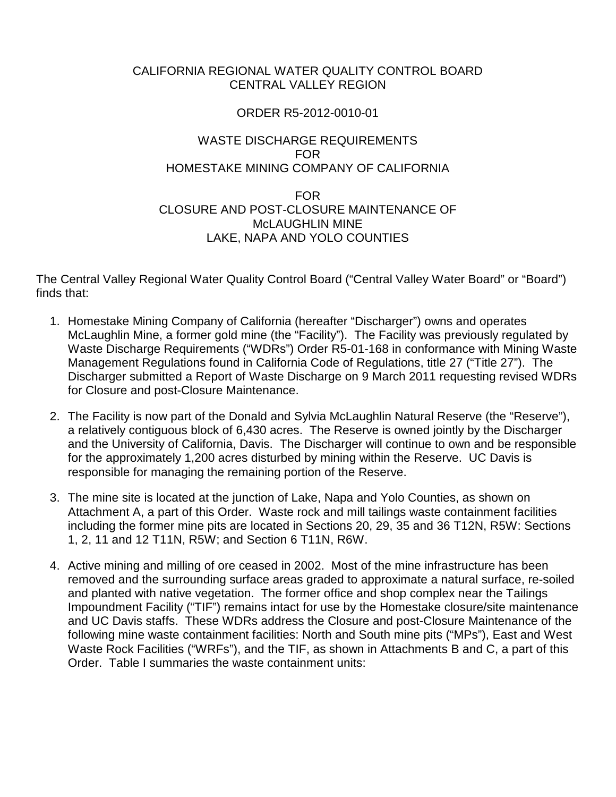### CALIFORNIA REGIONAL WATER QUALITY CONTROL BOARD CENTRAL VALLEY REGION

### ORDER R5-2012-0010-01

#### WASTE DISCHARGE REQUIREMENTS FOR HOMESTAKE MINING COMPANY OF CALIFORNIA

### FOR CLOSURE AND POST-CLOSURE MAINTENANCE OF McLAUGHLIN MINE LAKE, NAPA AND YOLO COUNTIES

The Central Valley Regional Water Quality Control Board ("Central Valley Water Board" or "Board") finds that:

- 1. Homestake Mining Company of California (hereafter "Discharger") owns and operates McLaughlin Mine, a former gold mine (the "Facility"). The Facility was previously regulated by Waste Discharge Requirements ("WDRs") Order R5-01-168 in conformance with Mining Waste Management Regulations found in California Code of Regulations, title 27 ("Title 27"). The Discharger submitted a Report of Waste Discharge on 9 March 2011 requesting revised WDRs for Closure and post-Closure Maintenance.
- 2. The Facility is now part of the Donald and Sylvia McLaughlin Natural Reserve (the "Reserve"), a relatively contiguous block of 6,430 acres. The Reserve is owned jointly by the Discharger and the University of California, Davis. The Discharger will continue to own and be responsible for the approximately 1,200 acres disturbed by mining within the Reserve. UC Davis is responsible for managing the remaining portion of the Reserve.
- 3. The mine site is located at the junction of Lake, Napa and Yolo Counties, as shown on Attachment A, a part of this Order. Waste rock and mill tailings waste containment facilities including the former mine pits are located in Sections 20, 29, 35 and 36 T12N, R5W: Sections 1, 2, 11 and 12 T11N, R5W; and Section 6 T11N, R6W.
- 4. Active mining and milling of ore ceased in 2002. Most of the mine infrastructure has been removed and the surrounding surface areas graded to approximate a natural surface, re-soiled and planted with native vegetation. The former office and shop complex near the Tailings Impoundment Facility ("TIF") remains intact for use by the Homestake closure/site maintenance and UC Davis staffs. These WDRs address the Closure and post-Closure Maintenance of the following mine waste containment facilities: North and South mine pits ("MPs"), East and West Waste Rock Facilities ("WRFs"), and the TIF, as shown in Attachments B and C, a part of this Order. Table I summaries the waste containment units: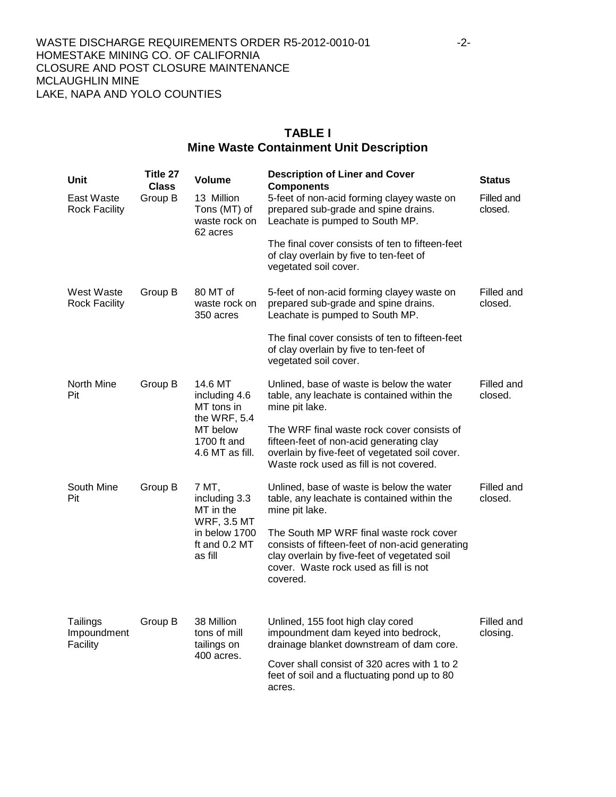### **TABLE I Mine Waste Containment Unit Description**

| <b>Unit</b>                         | Title 27<br><b>Class</b> | <b>Volume</b>                                                                                          | <b>Description of Liner and Cover</b><br><b>Components</b>                                                                                                                                      | <b>Status</b>          |
|-------------------------------------|--------------------------|--------------------------------------------------------------------------------------------------------|-------------------------------------------------------------------------------------------------------------------------------------------------------------------------------------------------|------------------------|
| East Waste<br><b>Rock Facility</b>  | Group B                  | 13 Million<br>Tons (MT) of<br>waste rock on<br>62 acres                                                | 5-feet of non-acid forming clayey waste on<br>prepared sub-grade and spine drains.<br>Leachate is pumped to South MP.                                                                           | Filled and<br>closed.  |
|                                     |                          |                                                                                                        | The final cover consists of ten to fifteen-feet<br>of clay overlain by five to ten-feet of<br>vegetated soil cover.                                                                             |                        |
| West Waste<br><b>Rock Facility</b>  | Group B                  | 80 MT of<br>waste rock on<br>350 acres                                                                 | 5-feet of non-acid forming clayey waste on<br>prepared sub-grade and spine drains.<br>Leachate is pumped to South MP.                                                                           | Filled and<br>closed.  |
|                                     |                          |                                                                                                        | The final cover consists of ten to fifteen-feet<br>of clay overlain by five to ten-feet of<br>vegetated soil cover.                                                                             |                        |
| North Mine<br>Pit                   | Group B                  | 14.6 MT<br>including 4.6<br>MT tons in<br>the WRF, 5.4<br>MT below<br>1700 ft and<br>4.6 MT as fill.   | Unlined, base of waste is below the water<br>table, any leachate is contained within the<br>mine pit lake.                                                                                      | Filled and<br>closed.  |
|                                     |                          |                                                                                                        | The WRF final waste rock cover consists of<br>fifteen-feet of non-acid generating clay<br>overlain by five-feet of vegetated soil cover.<br>Waste rock used as fill is not covered.             |                        |
| South Mine<br>Pit                   | Group B                  | 7 MT,<br>including 3.3<br>MT in the<br><b>WRF, 3.5 MT</b><br>in below 1700<br>ft and 0.2 MT<br>as fill | Unlined, base of waste is below the water<br>table, any leachate is contained within the<br>mine pit lake.                                                                                      | Filled and<br>closed.  |
|                                     |                          |                                                                                                        | The South MP WRF final waste rock cover<br>consists of fifteen-feet of non-acid generating<br>clay overlain by five-feet of vegetated soil<br>cover. Waste rock used as fill is not<br>covered. |                        |
| Tailings<br>Impoundment<br>Facility | Group B                  | 38 Million<br>tons of mill<br>tailings on<br>400 acres.                                                | Unlined, 155 foot high clay cored<br>impoundment dam keyed into bedrock,<br>drainage blanket downstream of dam core.                                                                            | Filled and<br>closing. |
|                                     |                          |                                                                                                        | Cover shall consist of 320 acres with 1 to 2<br>feet of soil and a fluctuating pond up to 80<br>acres.                                                                                          |                        |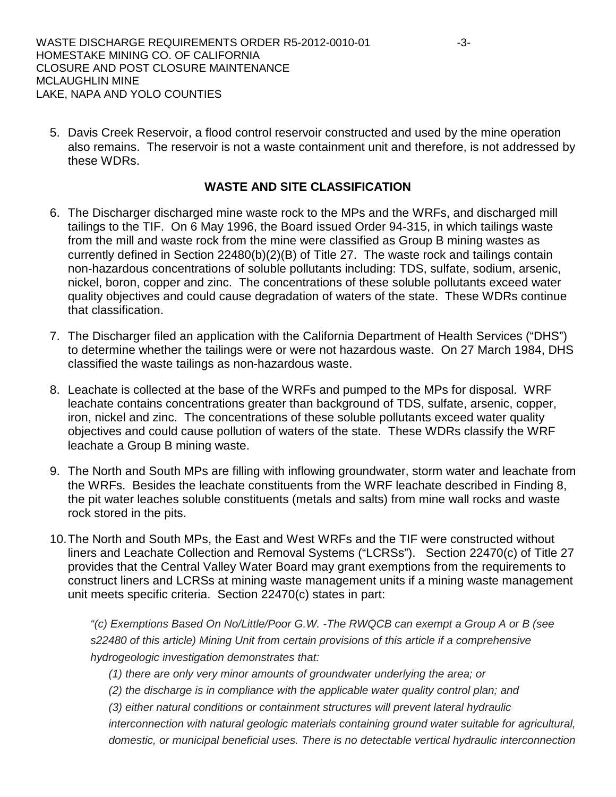5. Davis Creek Reservoir, a flood control reservoir constructed and used by the mine operation also remains. The reservoir is not a waste containment unit and therefore, is not addressed by these WDRs.

### **WASTE AND SITE CLASSIFICATION**

- 6. The Discharger discharged mine waste rock to the MPs and the WRFs, and discharged mill tailings to the TIF. On 6 May 1996, the Board issued Order 94-315, in which tailings waste from the mill and waste rock from the mine were classified as Group B mining wastes as currently defined in Section 22480(b)(2)(B) of Title 27. The waste rock and tailings contain non-hazardous concentrations of soluble pollutants including: TDS, sulfate, sodium, arsenic, nickel, boron, copper and zinc. The concentrations of these soluble pollutants exceed water quality objectives and could cause degradation of waters of the state. These WDRs continue that classification.
- 7. The Discharger filed an application with the California Department of Health Services ("DHS") to determine whether the tailings were or were not hazardous waste. On 27 March 1984, DHS classified the waste tailings as non-hazardous waste.
- 8. Leachate is collected at the base of the WRFs and pumped to the MPs for disposal. WRF leachate contains concentrations greater than background of TDS, sulfate, arsenic, copper, iron, nickel and zinc. The concentrations of these soluble pollutants exceed water quality objectives and could cause pollution of waters of the state. These WDRs classify the WRF leachate a Group B mining waste.
- 9. The North and South MPs are filling with inflowing groundwater, storm water and leachate from the WRFs. Besides the leachate constituents from the WRF leachate described in Finding 8, the pit water leaches soluble constituents (metals and salts) from mine wall rocks and waste rock stored in the pits.
- 10.The North and South MPs, the East and West WRFs and the TIF were constructed without liners and Leachate Collection and Removal Systems ("LCRSs"). Section 22470(c) of Title 27 provides that the Central Valley Water Board may grant exemptions from the requirements to construct liners and LCRSs at mining waste management units if a mining waste management unit meets specific criteria. Section 22470(c) states in part:

*"(c) Exemptions Based On No/Little/Poor G.W. -The RWQCB can exempt a Group A or B (see s22480 of this article) Mining Unit from certain provisions of this article if a comprehensive hydrogeologic investigation demonstrates that:*

*(1) there are only very minor amounts of groundwater underlying the area; or*

*(2) the discharge is in compliance with the applicable water quality control plan; and*

*(3) either natural conditions or containment structures will prevent lateral hydraulic* 

*interconnection with natural geologic materials containing ground water suitable for agricultural, domestic, or municipal beneficial uses. There is no detectable vertical hydraulic interconnection*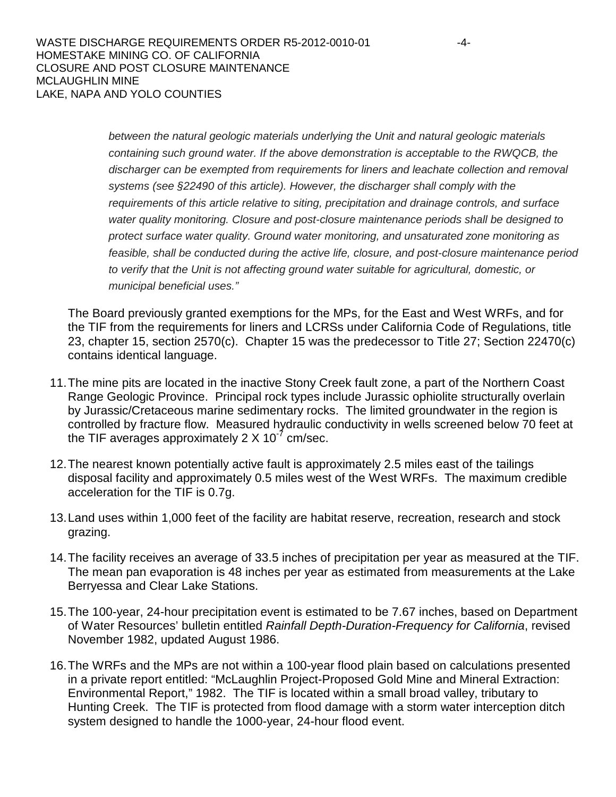*between the natural geologic materials underlying the Unit and natural geologic materials containing such ground water. If the above demonstration is acceptable to the RWQCB, the discharger can be exempted from requirements for liners and leachate collection and removal systems (see §22490 of this article). However, the discharger shall comply with the requirements of this article relative to siting, precipitation and drainage controls, and surface water quality monitoring. Closure and post-closure maintenance periods shall be designed to protect surface water quality. Ground water monitoring, and unsaturated zone monitoring as feasible, shall be conducted during the active life, closure, and post-closure maintenance period to verify that the Unit is not affecting ground water suitable for agricultural, domestic, or municipal beneficial uses."*

The Board previously granted exemptions for the MPs, for the East and West WRFs, and for the TIF from the requirements for liners and LCRSs under California Code of Regulations, title 23, chapter 15, section 2570(c). Chapter 15 was the predecessor to Title 27; Section 22470(c) contains identical language.

- 11.The mine pits are located in the inactive Stony Creek fault zone, a part of the Northern Coast Range Geologic Province. Principal rock types include Jurassic ophiolite structurally overlain by Jurassic/Cretaceous marine sedimentary rocks. The limited groundwater in the region is controlled by fracture flow. Measured hydraulic conductivity in wells screened below 70 feet at the TIF averages approximately 2  $\times$  10<sup>-7</sup> cm/sec.
- 12.The nearest known potentially active fault is approximately 2.5 miles east of the tailings disposal facility and approximately 0.5 miles west of the West WRFs. The maximum credible acceleration for the TIF is 0.7g.
- 13.Land uses within 1,000 feet of the facility are habitat reserve, recreation, research and stock grazing.
- 14.The facility receives an average of 33.5 inches of precipitation per year as measured at the TIF. The mean pan evaporation is 48 inches per year as estimated from measurements at the Lake Berryessa and Clear Lake Stations.
- 15.The 100-year, 24-hour precipitation event is estimated to be 7.67 inches, based on Department of Water Resources' bulletin entitled *Rainfall Depth-Duration-Frequency for California*, revised November 1982, updated August 1986.
- 16.The WRFs and the MPs are not within a 100-year flood plain based on calculations presented in a private report entitled: "McLaughlin Project-Proposed Gold Mine and Mineral Extraction: Environmental Report," 1982. The TIF is located within a small broad valley, tributary to Hunting Creek. The TIF is protected from flood damage with a storm water interception ditch system designed to handle the 1000-year, 24-hour flood event.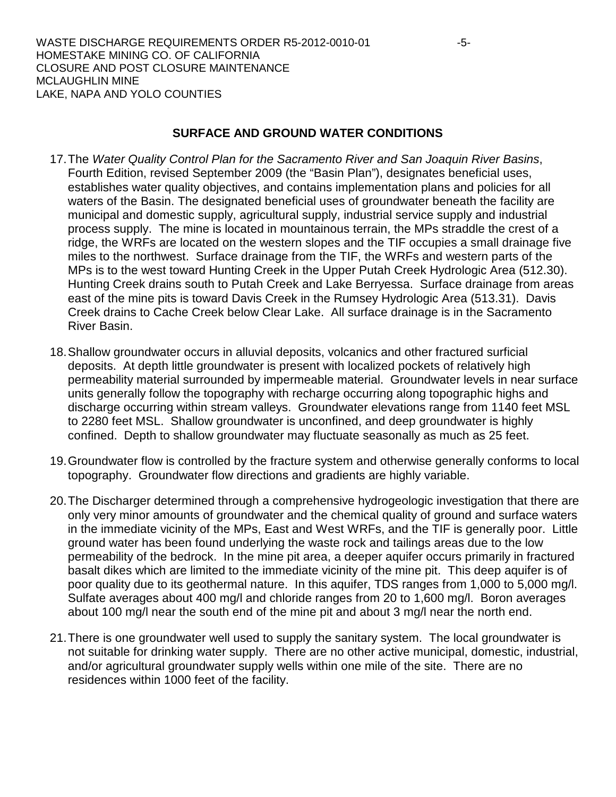#### **SURFACE AND GROUND WATER CONDITIONS**

- 17.The *Water Quality Control Plan for the Sacramento River and San Joaquin River Basins*, Fourth Edition, revised September 2009 (the "Basin Plan"), designates beneficial uses, establishes water quality objectives, and contains implementation plans and policies for all waters of the Basin. The designated beneficial uses of groundwater beneath the facility are municipal and domestic supply, agricultural supply, industrial service supply and industrial process supply. The mine is located in mountainous terrain, the MPs straddle the crest of a ridge, the WRFs are located on the western slopes and the TIF occupies a small drainage five miles to the northwest. Surface drainage from the TIF, the WRFs and western parts of the MPs is to the west toward Hunting Creek in the Upper Putah Creek Hydrologic Area (512.30). Hunting Creek drains south to Putah Creek and Lake Berryessa. Surface drainage from areas east of the mine pits is toward Davis Creek in the Rumsey Hydrologic Area (513.31). Davis Creek drains to Cache Creek below Clear Lake. All surface drainage is in the Sacramento River Basin.
- 18.Shallow groundwater occurs in alluvial deposits, volcanics and other fractured surficial deposits. At depth little groundwater is present with localized pockets of relatively high permeability material surrounded by impermeable material. Groundwater levels in near surface units generally follow the topography with recharge occurring along topographic highs and discharge occurring within stream valleys. Groundwater elevations range from 1140 feet MSL to 2280 feet MSL. Shallow groundwater is unconfined, and deep groundwater is highly confined. Depth to shallow groundwater may fluctuate seasonally as much as 25 feet.
- 19.Groundwater flow is controlled by the fracture system and otherwise generally conforms to local topography. Groundwater flow directions and gradients are highly variable.
- 20.The Discharger determined through a comprehensive hydrogeologic investigation that there are only very minor amounts of groundwater and the chemical quality of ground and surface waters in the immediate vicinity of the MPs, East and West WRFs, and the TIF is generally poor. Little ground water has been found underlying the waste rock and tailings areas due to the low permeability of the bedrock. In the mine pit area, a deeper aquifer occurs primarily in fractured basalt dikes which are limited to the immediate vicinity of the mine pit. This deep aquifer is of poor quality due to its geothermal nature. In this aquifer, TDS ranges from 1,000 to 5,000 mg/l. Sulfate averages about 400 mg/l and chloride ranges from 20 to 1,600 mg/l. Boron averages about 100 mg/l near the south end of the mine pit and about 3 mg/l near the north end.
- 21.There is one groundwater well used to supply the sanitary system. The local groundwater is not suitable for drinking water supply. There are no other active municipal, domestic, industrial, and/or agricultural groundwater supply wells within one mile of the site. There are no residences within 1000 feet of the facility.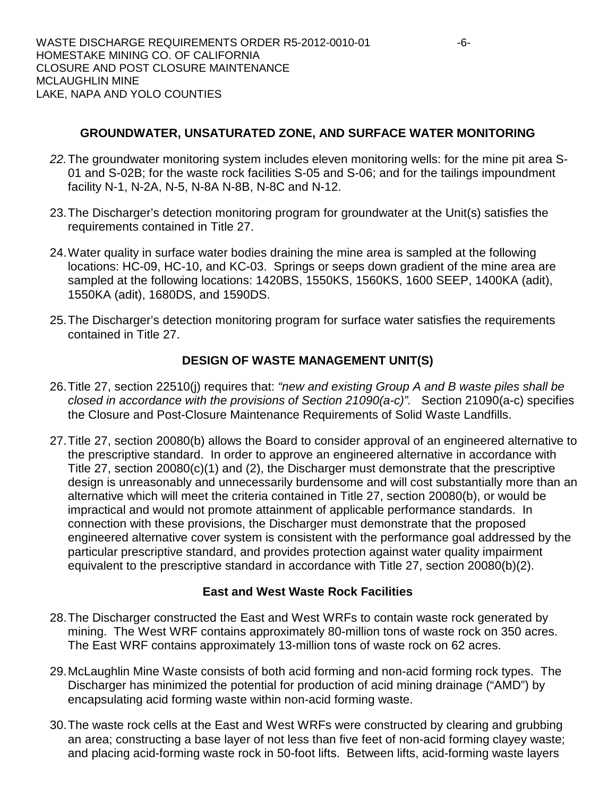# **GROUNDWATER, UNSATURATED ZONE, AND SURFACE WATER MONITORING**

- *22.*The groundwater monitoring system includes eleven monitoring wells: for the mine pit area S-01 and S-02B; for the waste rock facilities S-05 and S-06; and for the tailings impoundment facility N-1, N-2A, N-5, N-8A N-8B, N-8C and N-12.
- 23.The Discharger's detection monitoring program for groundwater at the Unit(s) satisfies the requirements contained in Title 27.
- 24.Water quality in surface water bodies draining the mine area is sampled at the following locations: HC-09, HC-10, and KC-03. Springs or seeps down gradient of the mine area are sampled at the following locations: 1420BS, 1550KS, 1560KS, 1600 SEEP, 1400KA (adit), 1550KA (adit), 1680DS, and 1590DS.
- 25.The Discharger's detection monitoring program for surface water satisfies the requirements contained in Title 27.

# **DESIGN OF WASTE MANAGEMENT UNIT(S)**

- 26.Title 27, section 22510(j) requires that: *"new and existing Group A and B waste piles shall be closed in accordance with the provisions of Section 21090(a-c)".* Section 21090(a-c) specifies the Closure and Post-Closure Maintenance Requirements of Solid Waste Landfills.
- 27.Title 27, section 20080(b) allows the Board to consider approval of an engineered alternative to the prescriptive standard. In order to approve an engineered alternative in accordance with Title 27, section 20080(c)(1) and (2), the Discharger must demonstrate that the prescriptive design is unreasonably and unnecessarily burdensome and will cost substantially more than an alternative which will meet the criteria contained in Title 27, section 20080(b), or would be impractical and would not promote attainment of applicable performance standards. In connection with these provisions, the Discharger must demonstrate that the proposed engineered alternative cover system is consistent with the performance goal addressed by the particular prescriptive standard, and provides protection against water quality impairment equivalent to the prescriptive standard in accordance with Title 27, section 20080(b)(2).

# **East and West Waste Rock Facilities**

- 28.The Discharger constructed the East and West WRFs to contain waste rock generated by mining. The West WRF contains approximately 80-million tons of waste rock on 350 acres. The East WRF contains approximately 13-million tons of waste rock on 62 acres.
- 29.McLaughlin Mine Waste consists of both acid forming and non-acid forming rock types. The Discharger has minimized the potential for production of acid mining drainage ("AMD") by encapsulating acid forming waste within non-acid forming waste.
- 30.The waste rock cells at the East and West WRFs were constructed by clearing and grubbing an area; constructing a base layer of not less than five feet of non-acid forming clayey waste; and placing acid-forming waste rock in 50-foot lifts. Between lifts, acid-forming waste layers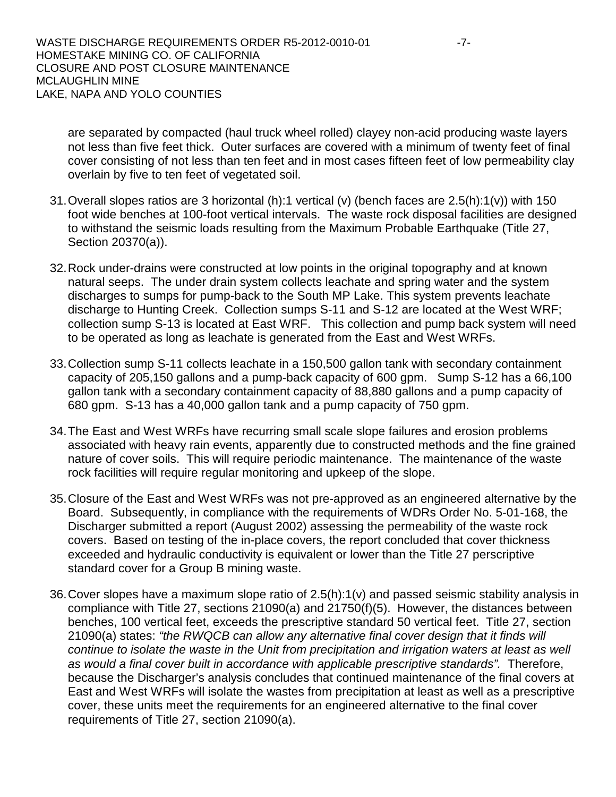are separated by compacted (haul truck wheel rolled) clayey non-acid producing waste layers not less than five feet thick. Outer surfaces are covered with a minimum of twenty feet of final cover consisting of not less than ten feet and in most cases fifteen feet of low permeability clay overlain by five to ten feet of vegetated soil.

- 31.Overall slopes ratios are 3 horizontal (h):1 vertical (v) (bench faces are 2.5(h):1(v)) with 150 foot wide benches at 100-foot vertical intervals. The waste rock disposal facilities are designed to withstand the seismic loads resulting from the Maximum Probable Earthquake (Title 27, Section 20370(a)).
- 32.Rock under-drains were constructed at low points in the original topography and at known natural seeps. The under drain system collects leachate and spring water and the system discharges to sumps for pump-back to the South MP Lake. This system prevents leachate discharge to Hunting Creek. Collection sumps S-11 and S-12 are located at the West WRF; collection sump S-13 is located at East WRF. This collection and pump back system will need to be operated as long as leachate is generated from the East and West WRFs.
- 33.Collection sump S-11 collects leachate in a 150,500 gallon tank with secondary containment capacity of 205,150 gallons and a pump-back capacity of 600 gpm. Sump S-12 has a 66,100 gallon tank with a secondary containment capacity of 88,880 gallons and a pump capacity of 680 gpm. S-13 has a 40,000 gallon tank and a pump capacity of 750 gpm.
- 34.The East and West WRFs have recurring small scale slope failures and erosion problems associated with heavy rain events, apparently due to constructed methods and the fine grained nature of cover soils. This will require periodic maintenance. The maintenance of the waste rock facilities will require regular monitoring and upkeep of the slope.
- 35.Closure of the East and West WRFs was not pre-approved as an engineered alternative by the Board. Subsequently, in compliance with the requirements of WDRs Order No. 5-01-168, the Discharger submitted a report (August 2002) assessing the permeability of the waste rock covers. Based on testing of the in-place covers, the report concluded that cover thickness exceeded and hydraulic conductivity is equivalent or lower than the Title 27 perscriptive standard cover for a Group B mining waste.
- 36.Cover slopes have a maximum slope ratio of 2.5(h):1(v) and passed seismic stability analysis in compliance with Title 27, sections 21090(a) and 21750(f)(5). However, the distances between benches, 100 vertical feet, exceeds the prescriptive standard 50 vertical feet. Title 27, section 21090(a) states: *"the RWQCB can allow any alternative final cover design that it finds will continue to isolate the waste in the Unit from precipitation and irrigation waters at least as well as would a final cover built in accordance with applicable prescriptive standards".* Therefore, because the Discharger's analysis concludes that continued maintenance of the final covers at East and West WRFs will isolate the wastes from precipitation at least as well as a prescriptive cover, these units meet the requirements for an engineered alternative to the final cover requirements of Title 27, section 21090(a).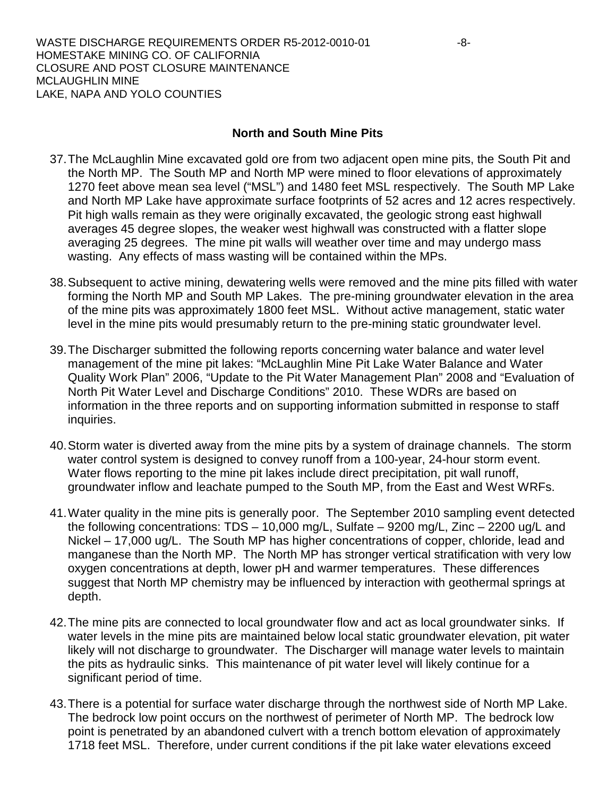### **North and South Mine Pits**

- 37.The McLaughlin Mine excavated gold ore from two adjacent open mine pits, the South Pit and the North MP. The South MP and North MP were mined to floor elevations of approximately 1270 feet above mean sea level ("MSL") and 1480 feet MSL respectively. The South MP Lake and North MP Lake have approximate surface footprints of 52 acres and 12 acres respectively. Pit high walls remain as they were originally excavated, the geologic strong east highwall averages 45 degree slopes, the weaker west highwall was constructed with a flatter slope averaging 25 degrees. The mine pit walls will weather over time and may undergo mass wasting. Any effects of mass wasting will be contained within the MPs.
- 38.Subsequent to active mining, dewatering wells were removed and the mine pits filled with water forming the North MP and South MP Lakes. The pre-mining groundwater elevation in the area of the mine pits was approximately 1800 feet MSL. Without active management, static water level in the mine pits would presumably return to the pre-mining static groundwater level.
- 39.The Discharger submitted the following reports concerning water balance and water level management of the mine pit lakes: "McLaughlin Mine Pit Lake Water Balance and Water Quality Work Plan" 2006, "Update to the Pit Water Management Plan" 2008 and "Evaluation of North Pit Water Level and Discharge Conditions" 2010. These WDRs are based on information in the three reports and on supporting information submitted in response to staff inquiries.
- 40.Storm water is diverted away from the mine pits by a system of drainage channels. The storm water control system is designed to convey runoff from a 100-year, 24-hour storm event. Water flows reporting to the mine pit lakes include direct precipitation, pit wall runoff, groundwater inflow and leachate pumped to the South MP, from the East and West WRFs.
- 41.Water quality in the mine pits is generally poor. The September 2010 sampling event detected the following concentrations: TDS – 10,000 mg/L, Sulfate – 9200 mg/L, Zinc – 2200 ug/L and Nickel – 17,000 ug/L. The South MP has higher concentrations of copper, chloride, lead and manganese than the North MP. The North MP has stronger vertical stratification with very low oxygen concentrations at depth, lower pH and warmer temperatures. These differences suggest that North MP chemistry may be influenced by interaction with geothermal springs at depth.
- 42.The mine pits are connected to local groundwater flow and act as local groundwater sinks. If water levels in the mine pits are maintained below local static groundwater elevation, pit water likely will not discharge to groundwater. The Discharger will manage water levels to maintain the pits as hydraulic sinks. This maintenance of pit water level will likely continue for a significant period of time.
- 43.There is a potential for surface water discharge through the northwest side of North MP Lake. The bedrock low point occurs on the northwest of perimeter of North MP. The bedrock low point is penetrated by an abandoned culvert with a trench bottom elevation of approximately 1718 feet MSL. Therefore, under current conditions if the pit lake water elevations exceed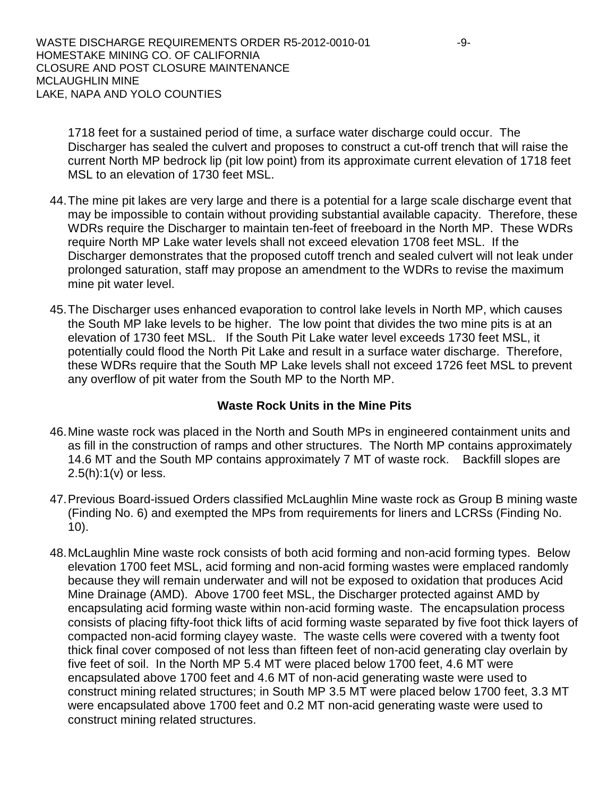WASTE DISCHARGE REQUIREMENTS ORDER R5-2012-0010-01 -9-HOMESTAKE MINING CO. OF CALIFORNIA CLOSURE AND POST CLOSURE MAINTENANCE MCLAUGHLIN MINE LAKE, NAPA AND YOLO COUNTIES

1718 feet for a sustained period of time, a surface water discharge could occur. The Discharger has sealed the culvert and proposes to construct a cut-off trench that will raise the current North MP bedrock lip (pit low point) from its approximate current elevation of 1718 feet MSL to an elevation of 1730 feet MSL.

- 44.The mine pit lakes are very large and there is a potential for a large scale discharge event that may be impossible to contain without providing substantial available capacity. Therefore, these WDRs require the Discharger to maintain ten-feet of freeboard in the North MP. These WDRs require North MP Lake water levels shall not exceed elevation 1708 feet MSL. If the Discharger demonstrates that the proposed cutoff trench and sealed culvert will not leak under prolonged saturation, staff may propose an amendment to the WDRs to revise the maximum mine pit water level.
- 45.The Discharger uses enhanced evaporation to control lake levels in North MP, which causes the South MP lake levels to be higher. The low point that divides the two mine pits is at an elevation of 1730 feet MSL. If the South Pit Lake water level exceeds 1730 feet MSL, it potentially could flood the North Pit Lake and result in a surface water discharge. Therefore, these WDRs require that the South MP Lake levels shall not exceed 1726 feet MSL to prevent any overflow of pit water from the South MP to the North MP.

### **Waste Rock Units in the Mine Pits**

- 46.Mine waste rock was placed in the North and South MPs in engineered containment units and as fill in the construction of ramps and other structures. The North MP contains approximately 14.6 MT and the South MP contains approximately 7 MT of waste rock. Backfill slopes are 2.5(h):1(v) or less.
- 47.Previous Board-issued Orders classified McLaughlin Mine waste rock as Group B mining waste (Finding No. 6) and exempted the MPs from requirements for liners and LCRSs (Finding No. 10).
- 48.McLaughlin Mine waste rock consists of both acid forming and non-acid forming types. Below elevation 1700 feet MSL, acid forming and non-acid forming wastes were emplaced randomly because they will remain underwater and will not be exposed to oxidation that produces Acid Mine Drainage (AMD). Above 1700 feet MSL, the Discharger protected against AMD by encapsulating acid forming waste within non-acid forming waste. The encapsulation process consists of placing fifty-foot thick lifts of acid forming waste separated by five foot thick layers of compacted non-acid forming clayey waste. The waste cells were covered with a twenty foot thick final cover composed of not less than fifteen feet of non-acid generating clay overlain by five feet of soil. In the North MP 5.4 MT were placed below 1700 feet, 4.6 MT were encapsulated above 1700 feet and 4.6 MT of non-acid generating waste were used to construct mining related structures; in South MP 3.5 MT were placed below 1700 feet, 3.3 MT were encapsulated above 1700 feet and 0.2 MT non-acid generating waste were used to construct mining related structures.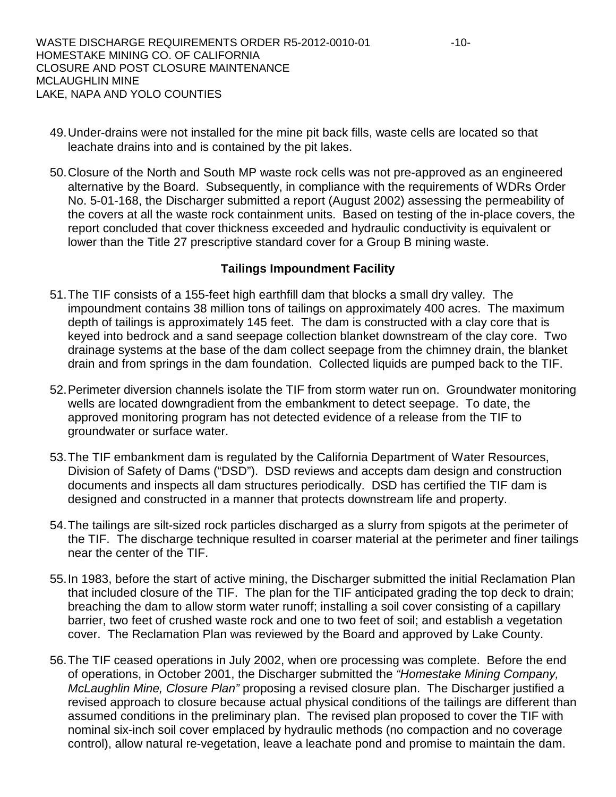- 49.Under-drains were not installed for the mine pit back fills, waste cells are located so that leachate drains into and is contained by the pit lakes.
- 50.Closure of the North and South MP waste rock cells was not pre-approved as an engineered alternative by the Board. Subsequently, in compliance with the requirements of WDRs Order No. 5-01-168, the Discharger submitted a report (August 2002) assessing the permeability of the covers at all the waste rock containment units. Based on testing of the in-place covers, the report concluded that cover thickness exceeded and hydraulic conductivity is equivalent or lower than the Title 27 prescriptive standard cover for a Group B mining waste.

### **Tailings Impoundment Facility**

- 51.The TIF consists of a 155-feet high earthfill dam that blocks a small dry valley. The impoundment contains 38 million tons of tailings on approximately 400 acres. The maximum depth of tailings is approximately 145 feet. The dam is constructed with a clay core that is keyed into bedrock and a sand seepage collection blanket downstream of the clay core. Two drainage systems at the base of the dam collect seepage from the chimney drain, the blanket drain and from springs in the dam foundation. Collected liquids are pumped back to the TIF.
- 52.Perimeter diversion channels isolate the TIF from storm water run on. Groundwater monitoring wells are located downgradient from the embankment to detect seepage. To date, the approved monitoring program has not detected evidence of a release from the TIF to groundwater or surface water.
- 53.The TIF embankment dam is regulated by the California Department of Water Resources, Division of Safety of Dams ("DSD"). DSD reviews and accepts dam design and construction documents and inspects all dam structures periodically. DSD has certified the TIF dam is designed and constructed in a manner that protects downstream life and property.
- 54.The tailings are silt-sized rock particles discharged as a slurry from spigots at the perimeter of the TIF. The discharge technique resulted in coarser material at the perimeter and finer tailings near the center of the TIF.
- 55.In 1983, before the start of active mining, the Discharger submitted the initial Reclamation Plan that included closure of the TIF. The plan for the TIF anticipated grading the top deck to drain; breaching the dam to allow storm water runoff; installing a soil cover consisting of a capillary barrier, two feet of crushed waste rock and one to two feet of soil; and establish a vegetation cover. The Reclamation Plan was reviewed by the Board and approved by Lake County.
- 56.The TIF ceased operations in July 2002, when ore processing was complete. Before the end of operations, in October 2001, the Discharger submitted the *"Homestake Mining Company, McLaughlin Mine, Closure Plan"* proposing a revised closure plan. The Discharger justified a revised approach to closure because actual physical conditions of the tailings are different than assumed conditions in the preliminary plan. The revised plan proposed to cover the TIF with nominal six-inch soil cover emplaced by hydraulic methods (no compaction and no coverage control), allow natural re-vegetation, leave a leachate pond and promise to maintain the dam.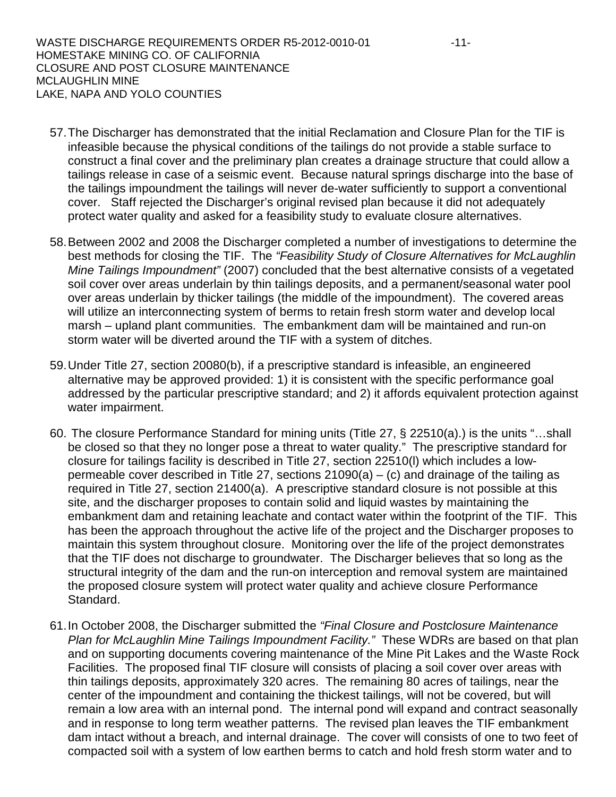WASTE DISCHARGE REQUIREMENTS ORDER R5-2012-0010-01 -11-HOMESTAKE MINING CO. OF CALIFORNIA CLOSURE AND POST CLOSURE MAINTENANCE MCLAUGHLIN MINE LAKE, NAPA AND YOLO COUNTIES

- 57.The Discharger has demonstrated that the initial Reclamation and Closure Plan for the TIF is infeasible because the physical conditions of the tailings do not provide a stable surface to construct a final cover and the preliminary plan creates a drainage structure that could allow a tailings release in case of a seismic event. Because natural springs discharge into the base of the tailings impoundment the tailings will never de-water sufficiently to support a conventional cover. Staff rejected the Discharger's original revised plan because it did not adequately protect water quality and asked for a feasibility study to evaluate closure alternatives.
- 58.Between 2002 and 2008 the Discharger completed a number of investigations to determine the best methods for closing the TIF. The *"Feasibility Study of Closure Alternatives for McLaughlin Mine Tailings Impoundment"* (2007) concluded that the best alternative consists of a vegetated soil cover over areas underlain by thin tailings deposits, and a permanent/seasonal water pool over areas underlain by thicker tailings (the middle of the impoundment). The covered areas will utilize an interconnecting system of berms to retain fresh storm water and develop local marsh – upland plant communities. The embankment dam will be maintained and run-on storm water will be diverted around the TIF with a system of ditches.
- 59.Under Title 27, section 20080(b), if a prescriptive standard is infeasible, an engineered alternative may be approved provided: 1) it is consistent with the specific performance goal addressed by the particular prescriptive standard; and 2) it affords equivalent protection against water impairment.
- 60. The closure Performance Standard for mining units (Title 27, § 22510(a).) is the units "…shall be closed so that they no longer pose a threat to water quality." The prescriptive standard for closure for tailings facility is described in Title 27, section 22510(l) which includes a lowpermeable cover described in Title 27, sections  $21090(a) - (c)$  and drainage of the tailing as required in Title 27, section 21400(a). A prescriptive standard closure is not possible at this site, and the discharger proposes to contain solid and liquid wastes by maintaining the embankment dam and retaining leachate and contact water within the footprint of the TIF. This has been the approach throughout the active life of the project and the Discharger proposes to maintain this system throughout closure. Monitoring over the life of the project demonstrates that the TIF does not discharge to groundwater. The Discharger believes that so long as the structural integrity of the dam and the run-on interception and removal system are maintained the proposed closure system will protect water quality and achieve closure Performance Standard.
- 61.In October 2008, the Discharger submitted the *"Final Closure and Postclosure Maintenance Plan for McLaughlin Mine Tailings Impoundment Facility."* These WDRs are based on that plan and on supporting documents covering maintenance of the Mine Pit Lakes and the Waste Rock Facilities. The proposed final TIF closure will consists of placing a soil cover over areas with thin tailings deposits, approximately 320 acres. The remaining 80 acres of tailings, near the center of the impoundment and containing the thickest tailings, will not be covered, but will remain a low area with an internal pond. The internal pond will expand and contract seasonally and in response to long term weather patterns. The revised plan leaves the TIF embankment dam intact without a breach, and internal drainage. The cover will consists of one to two feet of compacted soil with a system of low earthen berms to catch and hold fresh storm water and to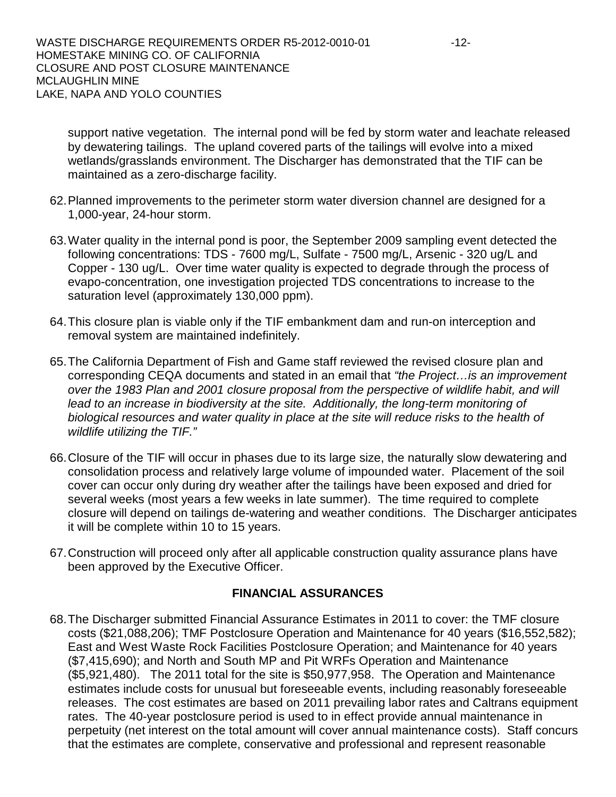support native vegetation. The internal pond will be fed by storm water and leachate released by dewatering tailings. The upland covered parts of the tailings will evolve into a mixed wetlands/grasslands environment. The Discharger has demonstrated that the TIF can be maintained as a zero-discharge facility.

- 62.Planned improvements to the perimeter storm water diversion channel are designed for a 1,000-year, 24-hour storm.
- 63.Water quality in the internal pond is poor, the September 2009 sampling event detected the following concentrations: TDS - 7600 mg/L, Sulfate - 7500 mg/L, Arsenic - 320 ug/L and Copper - 130 ug/L. Over time water quality is expected to degrade through the process of evapo-concentration, one investigation projected TDS concentrations to increase to the saturation level (approximately 130,000 ppm).
- 64.This closure plan is viable only if the TIF embankment dam and run-on interception and removal system are maintained indefinitely.
- 65.The California Department of Fish and Game staff reviewed the revised closure plan and corresponding CEQA documents and stated in an email that *"the Project…is an improvement over the 1983 Plan and 2001 closure proposal from the perspective of wildlife habit, and will lead to an increase in biodiversity at the site. Additionally, the long-term monitoring of biological resources and water quality in place at the site will reduce risks to the health of wildlife utilizing the TIF."*
- 66.Closure of the TIF will occur in phases due to its large size, the naturally slow dewatering and consolidation process and relatively large volume of impounded water. Placement of the soil cover can occur only during dry weather after the tailings have been exposed and dried for several weeks (most years a few weeks in late summer). The time required to complete closure will depend on tailings de-watering and weather conditions. The Discharger anticipates it will be complete within 10 to 15 years.
- 67.Construction will proceed only after all applicable construction quality assurance plans have been approved by the Executive Officer.

### **FINANCIAL ASSURANCES**

68.The Discharger submitted Financial Assurance Estimates in 2011 to cover: the TMF closure costs (\$21,088,206); TMF Postclosure Operation and Maintenance for 40 years (\$16,552,582); East and West Waste Rock Facilities Postclosure Operation; and Maintenance for 40 years (\$7,415,690); and North and South MP and Pit WRFs Operation and Maintenance (\$5,921,480). The 2011 total for the site is \$50,977,958. The Operation and Maintenance estimates include costs for unusual but foreseeable events, including reasonably foreseeable releases. The cost estimates are based on 2011 prevailing labor rates and Caltrans equipment rates. The 40-year postclosure period is used to in effect provide annual maintenance in perpetuity (net interest on the total amount will cover annual maintenance costs). Staff concurs that the estimates are complete, conservative and professional and represent reasonable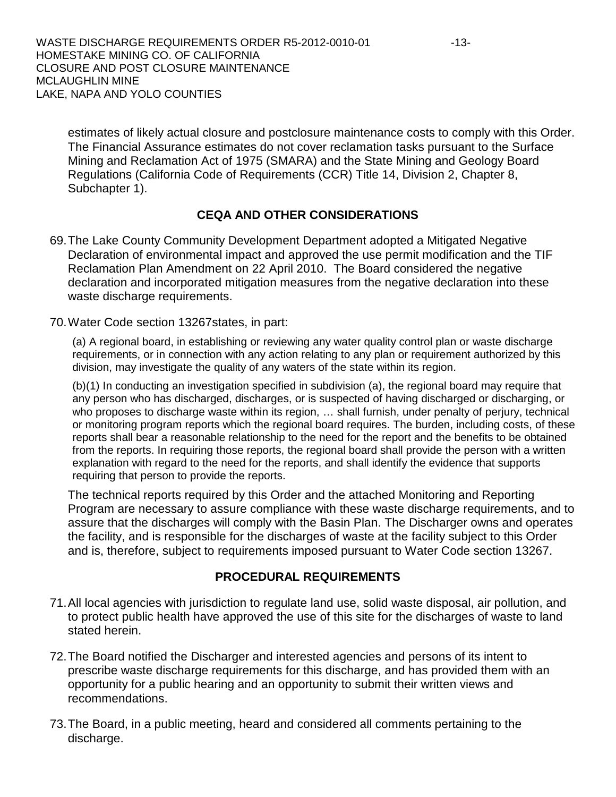WASTE DISCHARGE REQUIREMENTS ORDER R5-2012-0010-01 -13-HOMESTAKE MINING CO. OF CALIFORNIA CLOSURE AND POST CLOSURE MAINTENANCE MCLAUGHLIN MINE LAKE, NAPA AND YOLO COUNTIES

estimates of likely actual closure and postclosure maintenance costs to comply with this Order. The Financial Assurance estimates do not cover reclamation tasks pursuant to the Surface Mining and Reclamation Act of 1975 (SMARA) and the State Mining and Geology Board Regulations (California Code of Requirements (CCR) Title 14, Division 2, Chapter 8, Subchapter 1).

# **CEQA AND OTHER CONSIDERATIONS**

- 69.The Lake County Community Development Department adopted a Mitigated Negative Declaration of environmental impact and approved the use permit modification and the TIF Reclamation Plan Amendment on 22 April 2010. The Board considered the negative declaration and incorporated mitigation measures from the negative declaration into these waste discharge requirements.
- 70.Water Code section 13267states, in part:

(a) A regional board, in establishing or reviewing any water quality control plan or waste discharge requirements, or in connection with any action relating to any plan or requirement authorized by this division, may investigate the quality of any waters of the state within its region.

(b)(1) In conducting an investigation specified in subdivision (a), the regional board may require that any person who has discharged, discharges, or is suspected of having discharged or discharging, or who proposes to discharge waste within its region, … shall furnish, under penalty of perjury, technical or monitoring program reports which the regional board requires. The burden, including costs, of these reports shall bear a reasonable relationship to the need for the report and the benefits to be obtained from the reports. In requiring those reports, the regional board shall provide the person with a written explanation with regard to the need for the reports, and shall identify the evidence that supports requiring that person to provide the reports.

The technical reports required by this Order and the attached Monitoring and Reporting Program are necessary to assure compliance with these waste discharge requirements, and to assure that the discharges will comply with the Basin Plan. The Discharger owns and operates the facility, and is responsible for the discharges of waste at the facility subject to this Order and is, therefore, subject to requirements imposed pursuant to Water Code section 13267.

### **PROCEDURAL REQUIREMENTS**

- 71.All local agencies with jurisdiction to regulate land use, solid waste disposal, air pollution, and to protect public health have approved the use of this site for the discharges of waste to land stated herein.
- 72.The Board notified the Discharger and interested agencies and persons of its intent to prescribe waste discharge requirements for this discharge, and has provided them with an opportunity for a public hearing and an opportunity to submit their written views and recommendations.
- 73.The Board, in a public meeting, heard and considered all comments pertaining to the discharge.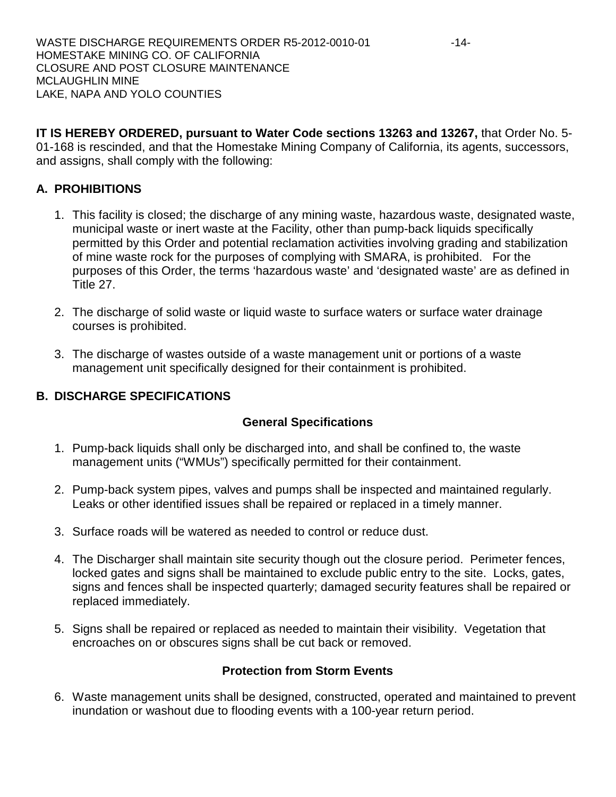**IT IS HEREBY ORDERED, pursuant to Water Code sections 13263 and 13267,** that Order No. 5- 01-168 is rescinded, and that the Homestake Mining Company of California, its agents, successors, and assigns, shall comply with the following:

# **A. PROHIBITIONS**

- 1. This facility is closed; the discharge of any mining waste, hazardous waste, designated waste, municipal waste or inert waste at the Facility, other than pump-back liquids specifically permitted by this Order and potential reclamation activities involving grading and stabilization of mine waste rock for the purposes of complying with SMARA, is prohibited. For the purposes of this Order, the terms 'hazardous waste' and 'designated waste' are as defined in Title 27.
- 2. The discharge of solid waste or liquid waste to surface waters or surface water drainage courses is prohibited.
- 3. The discharge of wastes outside of a waste management unit or portions of a waste management unit specifically designed for their containment is prohibited.

# **B. DISCHARGE SPECIFICATIONS**

# **General Specifications**

- 1. Pump-back liquids shall only be discharged into, and shall be confined to, the waste management units ("WMUs") specifically permitted for their containment.
- 2. Pump-back system pipes, valves and pumps shall be inspected and maintained regularly. Leaks or other identified issues shall be repaired or replaced in a timely manner.
- 3. Surface roads will be watered as needed to control or reduce dust.
- 4. The Discharger shall maintain site security though out the closure period. Perimeter fences, locked gates and signs shall be maintained to exclude public entry to the site. Locks, gates, signs and fences shall be inspected quarterly; damaged security features shall be repaired or replaced immediately.
- 5. Signs shall be repaired or replaced as needed to maintain their visibility. Vegetation that encroaches on or obscures signs shall be cut back or removed.

# **Protection from Storm Events**

6. Waste management units shall be designed, constructed, operated and maintained to prevent inundation or washout due to flooding events with a 100-year return period.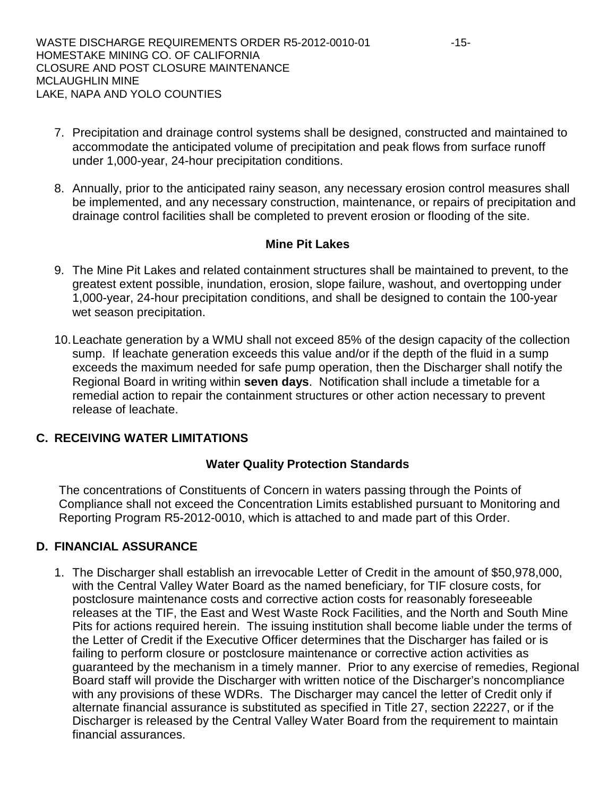- 7. Precipitation and drainage control systems shall be designed, constructed and maintained to accommodate the anticipated volume of precipitation and peak flows from surface runoff under 1,000-year, 24-hour precipitation conditions.
- 8. Annually, prior to the anticipated rainy season, any necessary erosion control measures shall be implemented, and any necessary construction, maintenance, or repairs of precipitation and drainage control facilities shall be completed to prevent erosion or flooding of the site.

### **Mine Pit Lakes**

- 9. The Mine Pit Lakes and related containment structures shall be maintained to prevent, to the greatest extent possible, inundation, erosion, slope failure, washout, and overtopping under 1,000-year, 24-hour precipitation conditions, and shall be designed to contain the 100-year wet season precipitation.
- 10.Leachate generation by a WMU shall not exceed 85% of the design capacity of the collection sump. If leachate generation exceeds this value and/or if the depth of the fluid in a sump exceeds the maximum needed for safe pump operation, then the Discharger shall notify the Regional Board in writing within **seven days**. Notification shall include a timetable for a remedial action to repair the containment structures or other action necessary to prevent release of leachate.

### **C. RECEIVING WATER LIMITATIONS**

### **Water Quality Protection Standards**

The concentrations of Constituents of Concern in waters passing through the Points of Compliance shall not exceed the Concentration Limits established pursuant to Monitoring and Reporting Program R5-2012-0010, which is attached to and made part of this Order.

# **D. FINANCIAL ASSURANCE**

1. The Discharger shall establish an irrevocable Letter of Credit in the amount of \$50,978,000, with the Central Valley Water Board as the named beneficiary, for TIF closure costs, for postclosure maintenance costs and corrective action costs for reasonably foreseeable releases at the TIF, the East and West Waste Rock Facilities, and the North and South Mine Pits for actions required herein. The issuing institution shall become liable under the terms of the Letter of Credit if the Executive Officer determines that the Discharger has failed or is failing to perform closure or postclosure maintenance or corrective action activities as guaranteed by the mechanism in a timely manner. Prior to any exercise of remedies, Regional Board staff will provide the Discharger with written notice of the Discharger's noncompliance with any provisions of these WDRs. The Discharger may cancel the letter of Credit only if alternate financial assurance is substituted as specified in Title 27, section 22227, or if the Discharger is released by the Central Valley Water Board from the requirement to maintain financial assurances.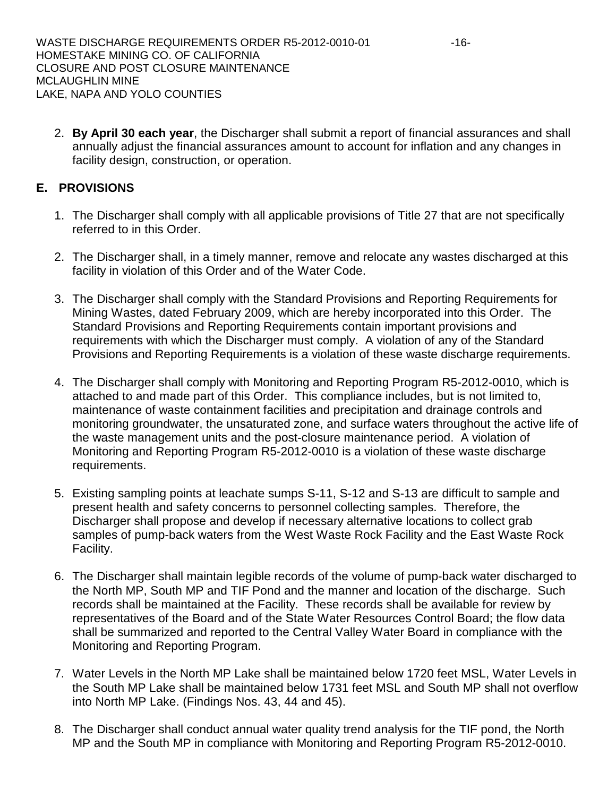2. **By April 30 each year**, the Discharger shall submit a report of financial assurances and shall annually adjust the financial assurances amount to account for inflation and any changes in facility design, construction, or operation.

# **E. PROVISIONS**

- 1. The Discharger shall comply with all applicable provisions of Title 27 that are not specifically referred to in this Order.
- 2. The Discharger shall, in a timely manner, remove and relocate any wastes discharged at this facility in violation of this Order and of the Water Code.
- 3. The Discharger shall comply with the Standard Provisions and Reporting Requirements for Mining Wastes, dated February 2009, which are hereby incorporated into this Order. The Standard Provisions and Reporting Requirements contain important provisions and requirements with which the Discharger must comply. A violation of any of the Standard Provisions and Reporting Requirements is a violation of these waste discharge requirements.
- 4. The Discharger shall comply with Monitoring and Reporting Program R5-2012-0010, which is attached to and made part of this Order. This compliance includes, but is not limited to, maintenance of waste containment facilities and precipitation and drainage controls and monitoring groundwater, the unsaturated zone, and surface waters throughout the active life of the waste management units and the post-closure maintenance period. A violation of Monitoring and Reporting Program R5-2012-0010 is a violation of these waste discharge requirements.
- 5. Existing sampling points at leachate sumps S-11, S-12 and S-13 are difficult to sample and present health and safety concerns to personnel collecting samples. Therefore, the Discharger shall propose and develop if necessary alternative locations to collect grab samples of pump-back waters from the West Waste Rock Facility and the East Waste Rock Facility.
- 6. The Discharger shall maintain legible records of the volume of pump-back water discharged to the North MP, South MP and TIF Pond and the manner and location of the discharge. Such records shall be maintained at the Facility. These records shall be available for review by representatives of the Board and of the State Water Resources Control Board; the flow data shall be summarized and reported to the Central Valley Water Board in compliance with the Monitoring and Reporting Program.
- 7. Water Levels in the North MP Lake shall be maintained below 1720 feet MSL, Water Levels in the South MP Lake shall be maintained below 1731 feet MSL and South MP shall not overflow into North MP Lake. (Findings Nos. 43, 44 and 45).
- 8. The Discharger shall conduct annual water quality trend analysis for the TIF pond, the North MP and the South MP in compliance with Monitoring and Reporting Program R5-2012-0010.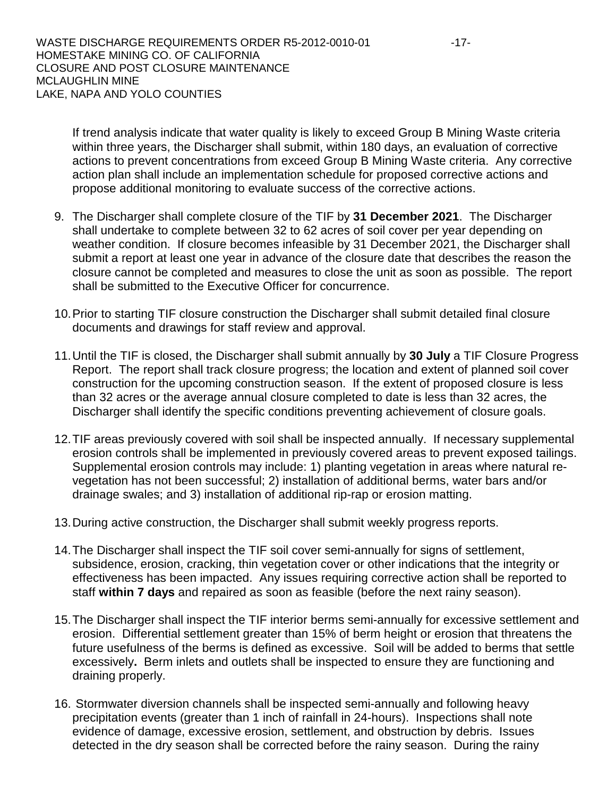WASTE DISCHARGE REQUIREMENTS ORDER R5-2012-0010-01 -17-HOMESTAKE MINING CO. OF CALIFORNIA CLOSURE AND POST CLOSURE MAINTENANCE MCLAUGHLIN MINE LAKE, NAPA AND YOLO COUNTIES

If trend analysis indicate that water quality is likely to exceed Group B Mining Waste criteria within three years, the Discharger shall submit, within 180 days, an evaluation of corrective actions to prevent concentrations from exceed Group B Mining Waste criteria. Any corrective action plan shall include an implementation schedule for proposed corrective actions and propose additional monitoring to evaluate success of the corrective actions.

- 9. The Discharger shall complete closure of the TIF by **31 December 2021**. The Discharger shall undertake to complete between 32 to 62 acres of soil cover per year depending on weather condition. If closure becomes infeasible by 31 December 2021, the Discharger shall submit a report at least one year in advance of the closure date that describes the reason the closure cannot be completed and measures to close the unit as soon as possible. The report shall be submitted to the Executive Officer for concurrence.
- 10.Prior to starting TIF closure construction the Discharger shall submit detailed final closure documents and drawings for staff review and approval.
- 11.Until the TIF is closed, the Discharger shall submit annually by **30 July** a TIF Closure Progress Report. The report shall track closure progress; the location and extent of planned soil cover construction for the upcoming construction season. If the extent of proposed closure is less than 32 acres or the average annual closure completed to date is less than 32 acres, the Discharger shall identify the specific conditions preventing achievement of closure goals.
- 12.TIF areas previously covered with soil shall be inspected annually. If necessary supplemental erosion controls shall be implemented in previously covered areas to prevent exposed tailings. Supplemental erosion controls may include: 1) planting vegetation in areas where natural revegetation has not been successful; 2) installation of additional berms, water bars and/or drainage swales; and 3) installation of additional rip-rap or erosion matting.
- 13.During active construction, the Discharger shall submit weekly progress reports.
- 14.The Discharger shall inspect the TIF soil cover semi-annually for signs of settlement, subsidence, erosion, cracking, thin vegetation cover or other indications that the integrity or effectiveness has been impacted. Any issues requiring corrective action shall be reported to staff **within 7 days** and repaired as soon as feasible (before the next rainy season).
- 15.The Discharger shall inspect the TIF interior berms semi-annually for excessive settlement and erosion. Differential settlement greater than 15% of berm height or erosion that threatens the future usefulness of the berms is defined as excessive. Soil will be added to berms that settle excessively**.** Berm inlets and outlets shall be inspected to ensure they are functioning and draining properly.
- 16. Stormwater diversion channels shall be inspected semi-annually and following heavy precipitation events (greater than 1 inch of rainfall in 24-hours). Inspections shall note evidence of damage, excessive erosion, settlement, and obstruction by debris. Issues detected in the dry season shall be corrected before the rainy season. During the rainy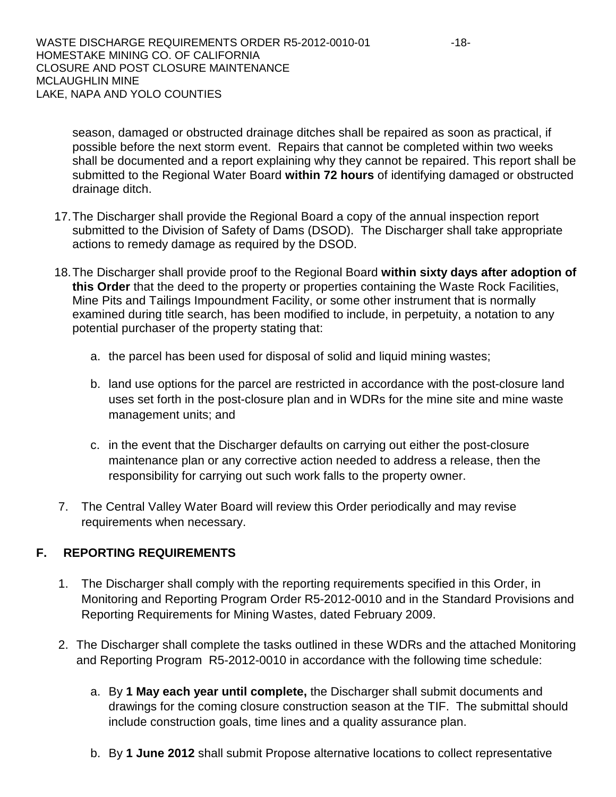season, damaged or obstructed drainage ditches shall be repaired as soon as practical, if possible before the next storm event. Repairs that cannot be completed within two weeks shall be documented and a report explaining why they cannot be repaired. This report shall be submitted to the Regional Water Board **within 72 hours** of identifying damaged or obstructed drainage ditch.

- 17.The Discharger shall provide the Regional Board a copy of the annual inspection report submitted to the Division of Safety of Dams (DSOD). The Discharger shall take appropriate actions to remedy damage as required by the DSOD.
- 18.The Discharger shall provide proof to the Regional Board **within sixty days after adoption of this Order** that the deed to the property or properties containing the Waste Rock Facilities, Mine Pits and Tailings Impoundment Facility, or some other instrument that is normally examined during title search, has been modified to include, in perpetuity, a notation to any potential purchaser of the property stating that:
	- a. the parcel has been used for disposal of solid and liquid mining wastes;
	- b. land use options for the parcel are restricted in accordance with the post-closure land uses set forth in the post-closure plan and in WDRs for the mine site and mine waste management units; and
	- c. in the event that the Discharger defaults on carrying out either the post-closure maintenance plan or any corrective action needed to address a release, then the responsibility for carrying out such work falls to the property owner.
- 7. The Central Valley Water Board will review this Order periodically and may revise requirements when necessary.

# **F. REPORTING REQUIREMENTS**

- 1. The Discharger shall comply with the reporting requirements specified in this Order, in Monitoring and Reporting Program Order R5-2012-0010 and in the Standard Provisions and Reporting Requirements for Mining Wastes, dated February 2009.
- 2. The Discharger shall complete the tasks outlined in these WDRs and the attached Monitoring and Reporting Program R5-2012-0010 in accordance with the following time schedule:
	- a. By **1 May each year until complete,** the Discharger shall submit documents and drawings for the coming closure construction season at the TIF. The submittal should include construction goals, time lines and a quality assurance plan.
	- b. By **1 June 2012** shall submit Propose alternative locations to collect representative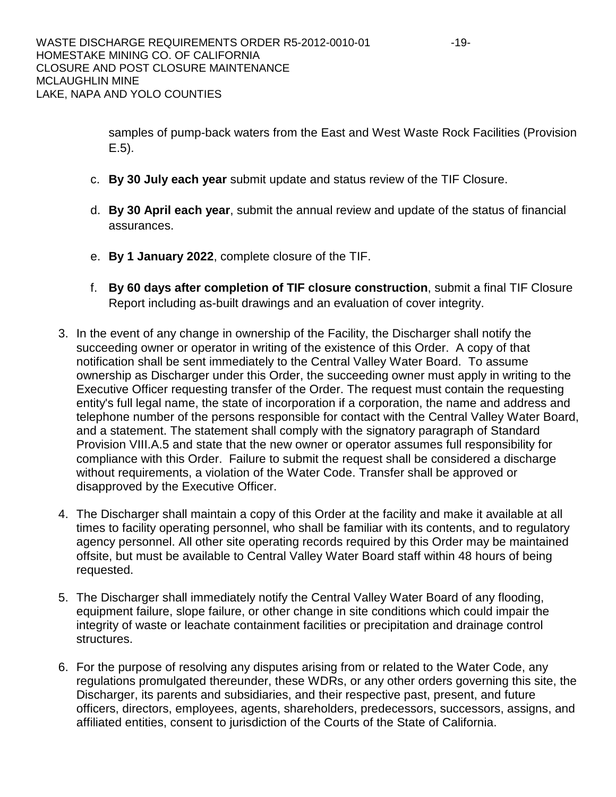samples of pump-back waters from the East and West Waste Rock Facilities (Provision E.5).

- c. **By 30 July each year** submit update and status review of the TIF Closure.
- d. **By 30 April each year**, submit the annual review and update of the status of financial assurances.
- e. **By 1 January 2022**, complete closure of the TIF.
- f. **By 60 days after completion of TIF closure construction**, submit a final TIF Closure Report including as-built drawings and an evaluation of cover integrity.
- 3. In the event of any change in ownership of the Facility, the Discharger shall notify the succeeding owner or operator in writing of the existence of this Order. A copy of that notification shall be sent immediately to the Central Valley Water Board. To assume ownership as Discharger under this Order, the succeeding owner must apply in writing to the Executive Officer requesting transfer of the Order. The request must contain the requesting entity's full legal name, the state of incorporation if a corporation, the name and address and telephone number of the persons responsible for contact with the Central Valley Water Board, and a statement. The statement shall comply with the signatory paragraph of Standard Provision VIII.A.5 and state that the new owner or operator assumes full responsibility for compliance with this Order. Failure to submit the request shall be considered a discharge without requirements, a violation of the Water Code. Transfer shall be approved or disapproved by the Executive Officer.
- 4. The Discharger shall maintain a copy of this Order at the facility and make it available at all times to facility operating personnel, who shall be familiar with its contents, and to regulatory agency personnel. All other site operating records required by this Order may be maintained offsite, but must be available to Central Valley Water Board staff within 48 hours of being requested.
- 5. The Discharger shall immediately notify the Central Valley Water Board of any flooding, equipment failure, slope failure, or other change in site conditions which could impair the integrity of waste or leachate containment facilities or precipitation and drainage control structures.
- 6. For the purpose of resolving any disputes arising from or related to the Water Code, any regulations promulgated thereunder, these WDRs, or any other orders governing this site, the Discharger, its parents and subsidiaries, and their respective past, present, and future officers, directors, employees, agents, shareholders, predecessors, successors, assigns, and affiliated entities, consent to jurisdiction of the Courts of the State of California.